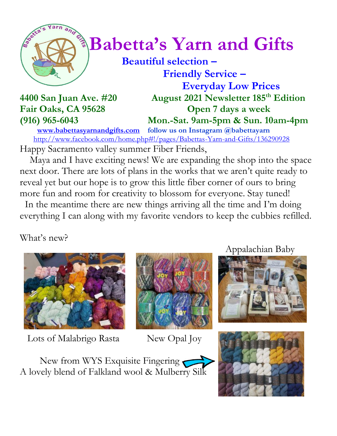

# $\int_{0}^{\infty}$  **Babetta's Yarn and Gifts**

 **Beautiful selection – Friendly Service –**

 **Everyday Low Prices 4400 San Juan Ave. #20 August 2021 Newsletter 185 th Edition Fair Oaks, CA 95628 Open 7 days a week (916) 965-6043 Mon.-Sat. 9am-5pm & Sun. 10am-4pm**

 **[www.babettasyarnandgifts.com](http://www.babettasyarnandgifts.com/) follow us on Instagram @babettayarn**  <http://www.facebook.com/home.php#!/pages/Babettas-Yarn-and-Gifts/136290928> Happy Sacramento valley summer Fiber Friends,

 Maya and I have exciting news! We are expanding the shop into the space next door. There are lots of plans in the works that we aren't quite ready to reveal yet but our hope is to grow this little fiber corner of ours to bring more fun and room for creativity to blossom for everyone. Stay tuned!

 In the meantime there are new things arriving all the time and I'm doing everything I can along with my favorite vendors to keep the cubbies refilled.

What's new?



Lots of Malabrigo Rasta New Opal Joy



Appalachian Baby





New from WYS Exquisite Fingering A lovely blend of Falkland wool & Mulberry Silk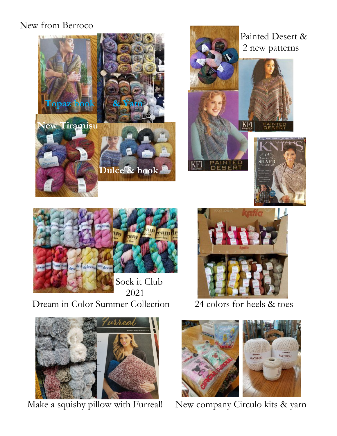#### New from Berroco







Dream in Color Summer Collection 24 colors for heels & toes





Make a squishy pillow with Furreal! New company Circulo kits & yarn

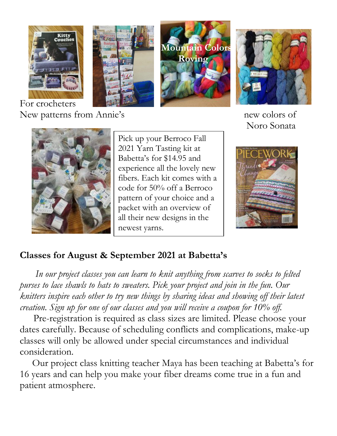







New patterns from Annie's new colors of Noro Sonata



Pick up your Berroco Fall 2021 Yarn Tasting kit at Babetta's for \$14.95 and experience all the lovely new fibers. Each kit comes with a code for 50% off a Berroco pattern of your choice and a packet with an overview of all their new designs in the newest yarns.



### **Classes for August & September 2021 at Babetta's**

 *In our project classes you can learn to knit anything from scarves to socks to felted purses to lace shawls to hats to sweaters. Pick your project and join in the fun. Our knitters inspire each other to try new things by sharing ideas and showing off their latest creation. Sign up for one of our classes and you will receive a coupon for 10% off.*

Pre-registration is required as class sizes are limited. Please choose your dates carefully. Because of scheduling conflicts and complications, make-up classes will only be allowed under special circumstances and individual consideration.

Our project class knitting teacher Maya has been teaching at Babetta's for 16 years and can help you make your fiber dreams come true in a fun and patient atmosphere.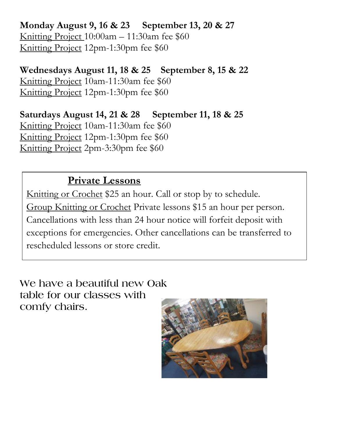**Monday August 9, 16 & 23 September 13, 20 & 27** Knitting Project 10:00am – 11:30am fee \$60 Knitting Project 12pm-1:30pm fee \$60

**Wednesdays August 11, 18 & 25 September 8, 15 & 22** Knitting Project 10am-11:30am fee \$60 Knitting Project 12pm-1:30pm fee \$60

**Saturdays August 14, 21 & 28 September 11, 18 & 25** Knitting Project 10am-11:30am fee \$60 Knitting Project 12pm-1:30pm fee \$60 Knitting Project 2pm-3:30pm fee \$60

## **Private Lessons**

Knitting or Crochet \$25 an hour. Call or stop by to schedule. Group Knitting or Crochet Private lessons \$15 an hour per person. Cancellations with less than 24 hour notice will forfeit deposit with exceptions for emergencies. Other cancellations can be transferred to rescheduled lessons or store credit.

**We have a beautiful new Oak table for our classes with comfy chairs.**